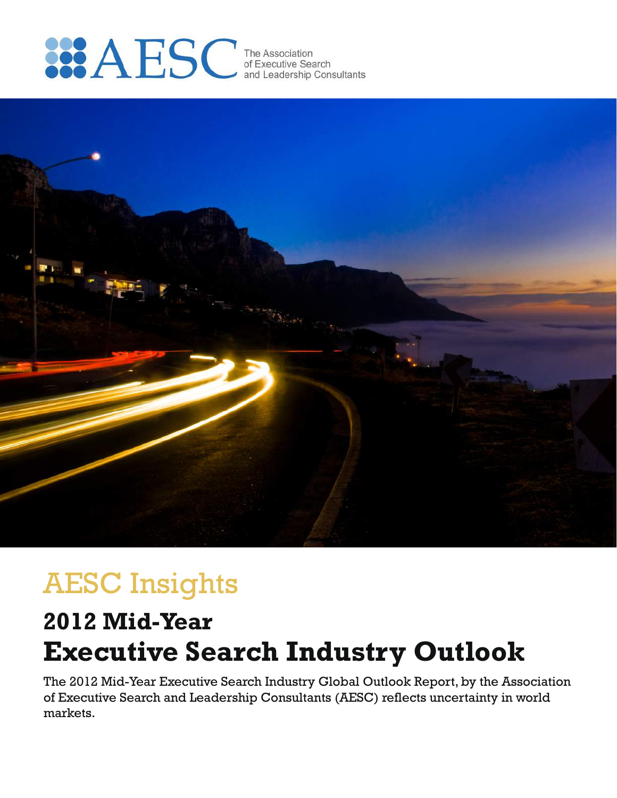



# AESC Insights

# **Executive Search Industry Outlook 2012 Mid-Year**

The 2012 Mid-Year Executive Search Industry Global Outlook Report, by the Association of Executive Search and Leadership Consultants (AESC) reflects uncertainty in world markets.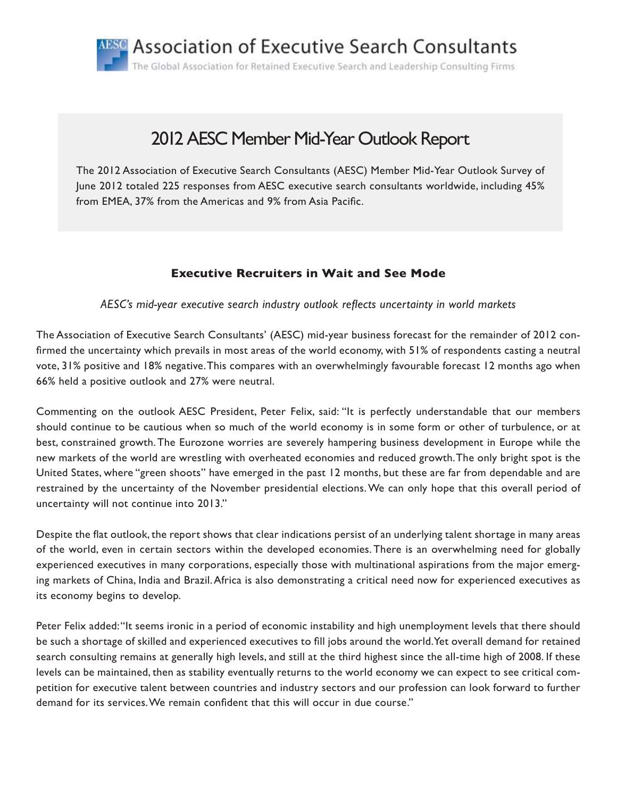ABSC Association of Executive Search Consultants The Global Association for Retained Executive Search and Leadership Consulting Firms

## 2012 AESC Member Mid-Year Outlook Report

The 2012 Association of Executive Search Consultants (AESC) Member Mid-Year Outlook Survey of June 2012 totaled 225 responses from AESC executive search consultants worldwide, including 45% from EMEA, 37% from the Americas and 9% from Asia Pacific.

## **Executive Recruiters in Wait and See Mode**

*AESC's mid-year executive search industry outlook reflects uncertainty in world markets*

The Association of Executive Search Consultants' (AESC) mid-year business forecast for the remainder of 2012 confirmed the uncertainty which prevails in most areas of the world economy, with 51% of respondents casting a neutral vote, 31% positive and 18% negative. This compares with an overwhelmingly favourable forecast 12 months ago when 66% held a positive outlook and 27% were neutral.

Commenting on the outlook AESC President, Peter Felix, said: "It is perfectly understandable that our members should continue to be cautious when so much of the world economy is in some form or other of turbulence, or at best, constrained growth. The Eurozone worries are severely hampering business development in Europe while the new markets of the world are wrestling with overheated economies and reduced growth. The only bright spot is the United States, where "green shoots" have emerged in the past 12 months, but these are far from dependable and are restrained by the uncertainty of the November presidential elections. We can only hope that this overall period of uncertainty will not continue into 2013."

Despite the flat outlook, the report shows that clear indications persist of an underlying talent shortage in many areas of the world, even in certain sectors within the developed economies. There is an overwhelming need for globally experienced executives in many corporations, especially those with multinational aspirations from the major emerging markets of China, India and Brazil. Africa is also demonstrating a critical need now for experienced executives as its economy begins to develop.

Peter Felix added: "It seems ironic in a period of economic instability and high unemployment levels that there should be such a shortage of skilled and experienced executives to fill jobs around the world. Yet overall demand for retained search consulting remains at generally high levels, and still at the third highest since the all-time high of 2008. If these levels can be maintained, then as stability eventually returns to the world economy we can expect to see critical competition for executive talent between countries and industry sectors and our profession can look forward to further demand for its services. We remain confident that this will occur in due course."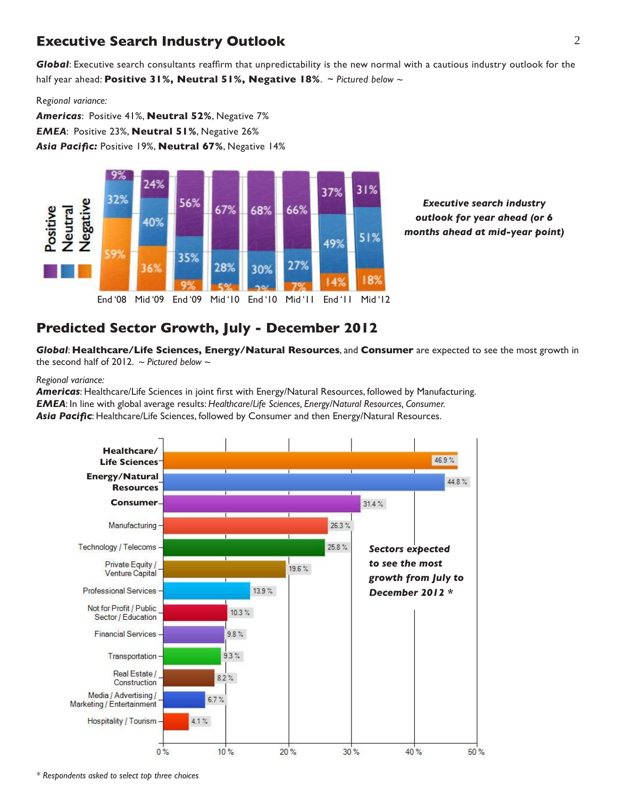## **Executive Search Industry Outlook** 2

*Global*: Executive search consultants reaffirm that unpredictability is the new normal with a cautious industry outlook for the half year ahead: **Positive 31%, Neutral 51%, Negative 18%**. ~ *Pictured below ~*

R*egional variance:*

*Americas*: Positive 41%, **Neutral 52%**, Negative 7% *EMEA*: Positive 23%, **Neutral 51%**, Negative 26% *Asia Pacific:* Positive 19%, **Neutral 67%**, Negative 14%



*Executive search industry outlook for year ahead (or 6 months ahead at mid-year point)*

## **Predicted Sector Growth, July - December 2012**

*Global*: **Healthcare/Life Sciences, Energy/Natural Resources**, and **Consumer** are expected to see the most growth in the second half of 2012. *~ Pictured below ~*

### *Regional variance:*

*Americas*: Healthcare/Life Sciences in joint first with Energy/Natural Resources, followed by Manufacturing. *EMEA*: In line with global average results: *Healthcare/Life Sciences, Energy/Natural Resources, Consumer.* Asia Pacific: Healthcare/Life Sciences, followed by Consumer and then Energy/Natural Resources.



*\* Respondents asked to select top three choices*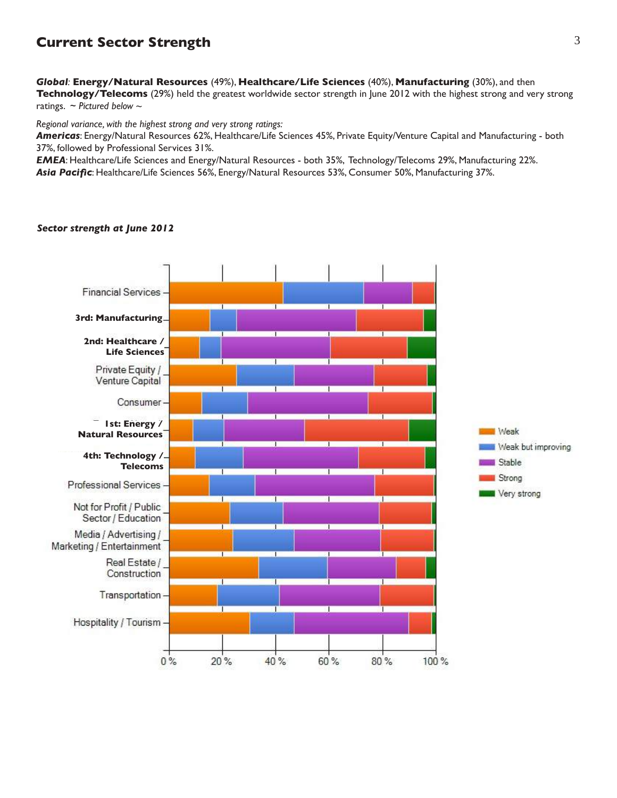## **Current Sector Strength**

*Global:* **Energy/Natural Resources** (49%), **Healthcare/Life Sciences** (40%), **Manufacturing** (30%), and then **Technology/Telecoms** (29%) held the greatest worldwide sector strength in June 2012 with the highest strong and very strong ratings. ~ *Pictured below ~*

*Regional variance, with the highest strong and very strong ratings:*

*Americas*: Energy/Natural Resources 62%, Healthcare/Life Sciences 45%, Private Equity/Venture Capital and Manufacturing - both 37%, followed by Professional Services 31%.

*EMEA*: Healthcare/Life Sciences and Energy/Natural Resources - both 35%, Technology/Telecoms 29%, Manufacturing 22%. *Asia Pacific*: Healthcare/Life Sciences 56%, Energy/Natural Resources 53%, Consumer 50%, Manufacturing 37%.

#### *Sector strength at June 2012*

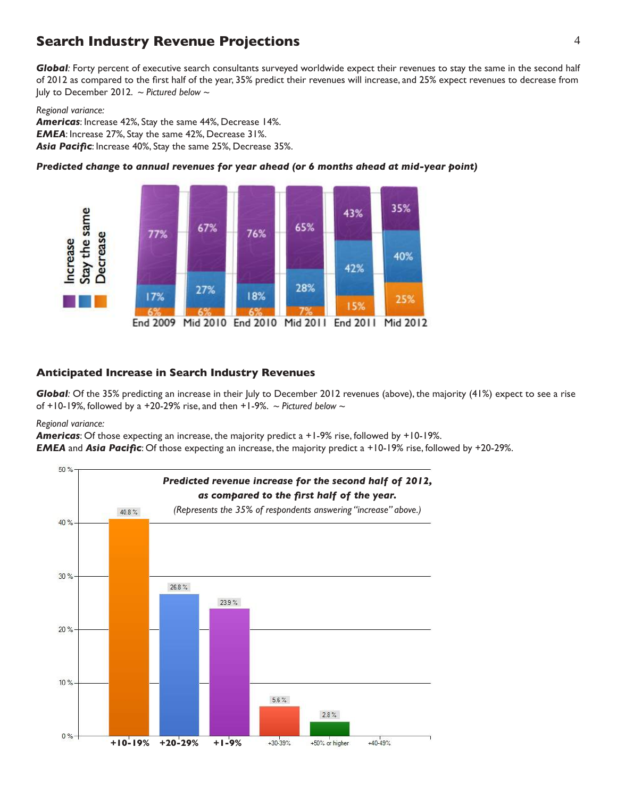## **Search Industry Revenue Projections** 4

*Global:* Forty percent of executive search consultants surveyed worldwide expect their revenues to stay the same in the second half of 2012 as compared to the first half of the year, 35% predict their revenues will increase, and 25% expect revenues to decrease from July to December 2012. *~ Pictured below ~*

#### *Regional variance:*

*Americas*: Increase 42%, Stay the same 44%, Decrease 14%. *EMEA*: Increase 27%, Stay the same 42%, Decrease 31%. *Asia Pacific*: Increase 40%, Stay the same 25%, Decrease 35%.

## *Predicted change to annual revenues for year ahead (or 6 months ahead at mid-year point)*



## **Anticipated Increase in Search Industry Revenues**

*Global:* Of the 35% predicting an increase in their July to December 2012 revenues (above), the majority (41%) expect to see a rise of +10-19%, followed by a +20-29% rise, and then +1-9%. *~ Pictured below ~*

#### *Regional variance:*

*Americas*: Of those expecting an increase, the majority predict a +1-9% rise, followed by +10-19%.

*EMEA* and *Asia Pacific*: Of those expecting an increase, the majority predict a +10-19% rise, followed by +20-29%.

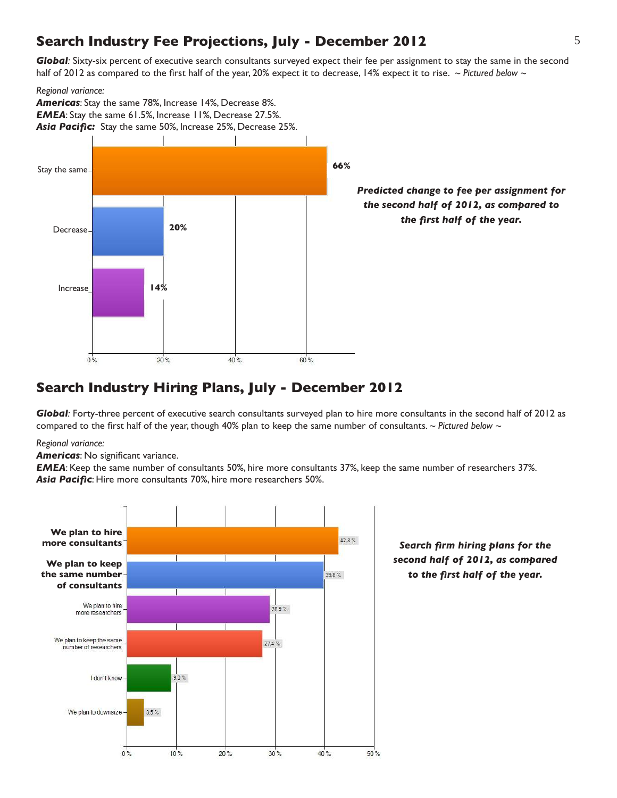## **Search Industry Fee Projections, July - December 2012**

*Global:* Sixty-six percent of executive search consultants surveyed expect their fee per assignment to stay the same in the second half of 2012 as compared to the first half of the year, 20% expect it to decrease, 14% expect it to rise. *~ Pictured below ~*

*Regional variance:*



## **Search Industry Hiring Plans, July - December 2012**

*Global:* Forty-three percent of executive search consultants surveyed plan to hire more consultants in the second half of 2012 as compared to the first half of the year, though 40% plan to keep the same number of consultants. *~ Pictured below ~*

*Regional variance:*

*Americas*: No significant variance.

*EMEA*: Keep the same number of consultants 50%, hire more consultants 37%, keep the same number of researchers 37%. *Asia Pacific*: Hire more consultants 70%, hire more researchers 50%.

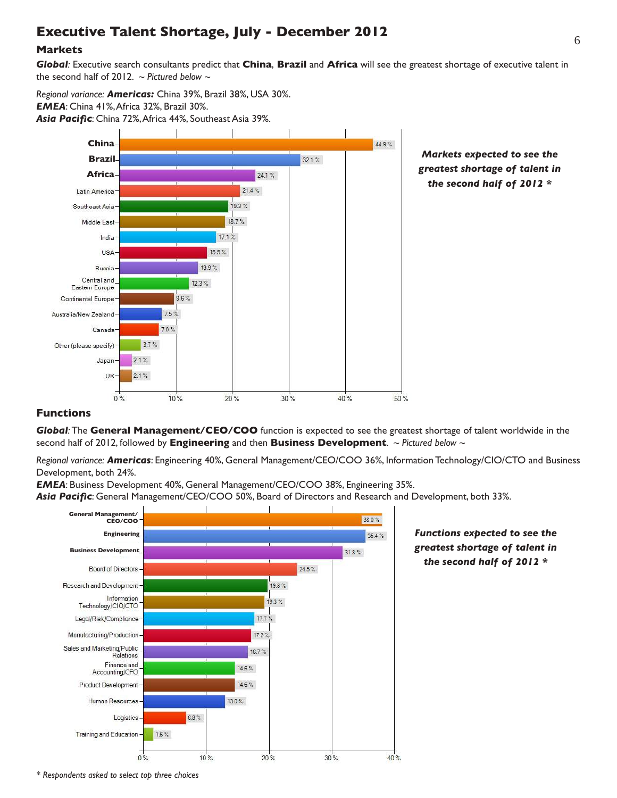## <sup>6</sup> **Executive Talent Shortage, July - December 2012**

## **Markets**

*Global:* Executive search consultants predict that **China**, **Brazil** and **Africa** will see the greatest shortage of executive talent in the second half of 2012. *~ Pictured below ~*

*Regional variance: Americas:* China 39%, Brazil 38%, USA 30%. *EMEA*: China 41%, Africa 32%, Brazil 30%. *Asia Pacific*: China 72%, Africa 44%, Southeast Asia 39%.



## **Functions**

*Global:* The **General Management/CEO/COO** function is expected to see the greatest shortage of talent worldwide in the second half of 2012, followed by **Engineering** and then **Business Development**. *~ Pictured below ~*

*Regional variance: Americas*: Engineering 40%, General Management/CEO/COO 36%, Information Technology/CIO/CTO and Business Development, both 24%.

*EMEA*: Business Development 40%, General Management/CEO/COO 38%, Engineering 35%.

*Asia Pacific*: General Management/CEO/COO 50%, Board of Directors and Research and Development, both 33%.



*greatest shortage of talent in the second half of 2012 \**

*\* Respondents asked to select top three choices*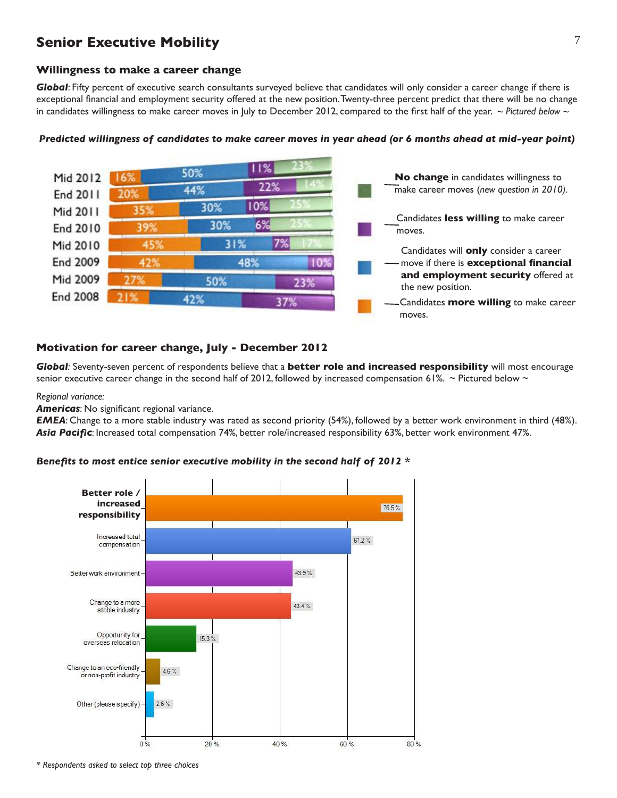## **Senior Executive Mobility**

## **Willingness to make a career change**

*Global*: Fifty percent of executive search consultants surveyed believe that candidates will only consider a career change if there is exceptional financial and employment security offered at the new position. Twenty-three percent predict that there will be no change in candidates willingness to make career moves in July to December 2012, compared to the first half of the year. *~ Pictured below ~*



### *Predicted willingness of candidates to make career moves in year ahead (or 6 months ahead at mid-year point)*

## **Motivation for career change, July - December 2012**

*Global:* Seventy-seven percent of respondents believe that a **better role and increased responsibility** will most encourage senior executive career change in the second half of 2012, followed by increased compensation 61%. ~ Pictured below ~

#### *Regional variance:*

*Americas*: No significant regional variance.

*EMEA*: Change to a more stable industry was rated as second priority (54%), followed by a better work environment in third (48%). *Asia Pacific*: Increased total compensation 74%, better role/increased responsibility 63%, better work environment 47%.



### *Benefits to most entice senior executive mobility in the second half of 2012 \**

*\* Respondents asked to select top three choices*